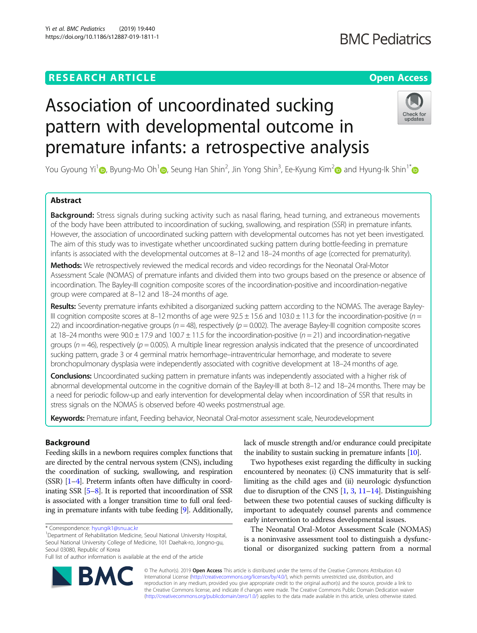# **RESEARCH ARTICLE Example 2014 12:30 The Contract of Contract ACCESS**

# **BMC Pediatrics**

# Association of uncoordinated sucking pattern with developmental outcome in premature infants: a retrospective analysis



You Gyoung Yi<sup>1</sup>@[,](http://orcid.org/0000-0001-9353-7541) Byung-Mo Oh<sup>1</sup>@, Seung Han Shin<sup>2</sup>, Jin Yong Shin<sup>3</sup>, Ee-Kyung Kim<sup>2</sup>@ and Hyung-Ik Shin<sup>1[\\*](http://orcid.org/0000-0001-8805-3104)</sup>

# Abstract

**Background:** Stress signals during sucking activity such as nasal flaring, head turning, and extraneous movements of the body have been attributed to incoordination of sucking, swallowing, and respiration (SSR) in premature infants. However, the association of uncoordinated sucking pattern with developmental outcomes has not yet been investigated. The aim of this study was to investigate whether uncoordinated sucking pattern during bottle-feeding in premature infants is associated with the developmental outcomes at 8–12 and 18–24 months of age (corrected for prematurity).

Methods: We retrospectively reviewed the medical records and video recordings for the Neonatal Oral-Motor Assessment Scale (NOMAS) of premature infants and divided them into two groups based on the presence or absence of incoordination. The Bayley-III cognition composite scores of the incoordination-positive and incoordination-negative group were compared at 8–12 and 18–24 months of age.

Results: Seventy premature infants exhibited a disorganized sucking pattern according to the NOMAS. The average Bayley-III cognition composite scores at 8–12 months of age were  $92.5 \pm 15.6$  and  $103.0 \pm 11.3$  for the incoordination-positive ( $n =$ 22) and incoordination-negative groups ( $n = 48$ ), respectively ( $p = 0.002$ ). The average Bayley-III cognition composite scores at 18–24 months were  $90.0 \pm 17.9$  and  $100.7 \pm 11.5$  for the incoordination-positive ( $n = 21$ ) and incoordination-negative groups ( $n = 46$ ), respectively ( $p = 0.005$ ). A multiple linear regression analysis indicated that the presence of uncoordinated sucking pattern, grade 3 or 4 germinal matrix hemorrhage–intraventricular hemorrhage, and moderate to severe bronchopulmonary dysplasia were independently associated with cognitive development at 18–24 months of age.

Conclusions: Uncoordinated sucking pattern in premature infants was independently associated with a higher risk of abnormal developmental outcome in the cognitive domain of the Bayley-III at both 8–12 and 18–24 months. There may be a need for periodic follow-up and early intervention for developmental delay when incoordination of SSR that results in stress signals on the NOMAS is observed before 40 weeks postmenstrual age.

Keywords: Premature infant, Feeding behavior, Neonatal Oral-motor assessment scale, Neurodevelopment

# Background

Feeding skills in a newborn requires complex functions that are directed by the central nervous system (CNS), including the coordination of sucking, swallowing, and respiration (SSR) [\[1](#page-5-0)–[4](#page-5-0)]. Preterm infants often have difficulty in coordinating SSR  $[5-8]$  $[5-8]$  $[5-8]$  $[5-8]$ . It is reported that incoordination of SSR is associated with a longer transition time to full oral feeding in premature infants with tube feeding [\[9\]](#page-5-0). Additionally,

lack of muscle strength and/or endurance could precipitate the inability to sustain sucking in premature infants [[10](#page-5-0)].

Two hypotheses exist regarding the difficulty in sucking encountered by neonates: (i) CNS immaturity that is selflimiting as the child ages and (ii) neurologic dysfunction due to disruption of the CNS  $[1, 3, 11-14]$  $[1, 3, 11-14]$  $[1, 3, 11-14]$  $[1, 3, 11-14]$  $[1, 3, 11-14]$  $[1, 3, 11-14]$  $[1, 3, 11-14]$ . Distinguishing between these two potential causes of sucking difficulty is important to adequately counsel parents and commence early intervention to address developmental issues.

The Neonatal Oral-Motor Assessment Scale (NOMAS) is a noninvasive assessment tool to distinguish a dysfunctional or disorganized sucking pattern from a normal



© The Author(s). 2019 Open Access This article is distributed under the terms of the Creative Commons Attribution 4.0 International License [\(http://creativecommons.org/licenses/by/4.0/](http://creativecommons.org/licenses/by/4.0/)), which permits unrestricted use, distribution, and reproduction in any medium, provided you give appropriate credit to the original author(s) and the source, provide a link to the Creative Commons license, and indicate if changes were made. The Creative Commons Public Domain Dedication waiver [\(http://creativecommons.org/publicdomain/zero/1.0/](http://creativecommons.org/publicdomain/zero/1.0/)) applies to the data made available in this article, unless otherwise stated.

<sup>\*</sup> Correspondence: [hyungik1@snu.ac.kr](mailto:hyungik1@snu.ac.kr) <sup>1</sup>

<sup>&</sup>lt;sup>1</sup>Department of Rehabilitation Medicine, Seoul National University Hospital, Seoul National University College of Medicine, 101 Daehak-ro, Jongno-gu, Seoul 03080, Republic of Korea

Full list of author information is available at the end of the article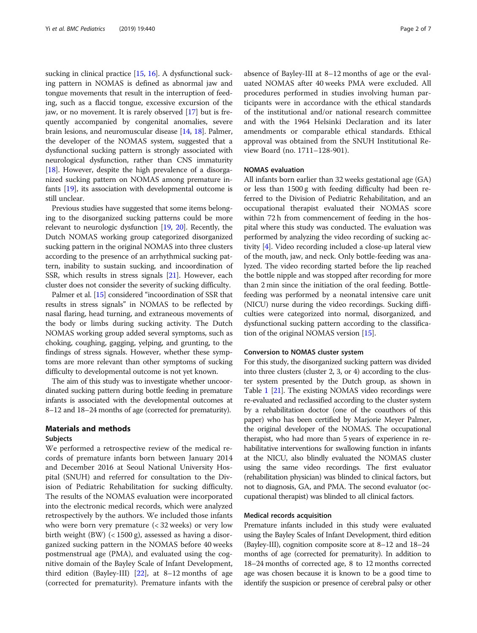sucking in clinical practice [[15,](#page-5-0) [16](#page-5-0)]. A dysfunctional sucking pattern in NOMAS is defined as abnormal jaw and tongue movements that result in the interruption of feeding, such as a flaccid tongue, excessive excursion of the jaw, or no movement. It is rarely observed [[17](#page-6-0)] but is frequently accompanied by congenital anomalies, severe brain lesions, and neuromuscular disease [[14](#page-5-0), [18](#page-6-0)]. Palmer, the developer of the NOMAS system, suggested that a dysfunctional sucking pattern is strongly associated with neurological dysfunction, rather than CNS immaturity [[18](#page-6-0)]. However, despite the high prevalence of a disorganized sucking pattern on NOMAS among premature infants [[19](#page-6-0)], its association with developmental outcome is still unclear.

Previous studies have suggested that some items belonging to the disorganized sucking patterns could be more relevant to neurologic dysfunction [[19,](#page-6-0) [20\]](#page-6-0). Recently, the Dutch NOMAS working group categorized disorganized sucking pattern in the original NOMAS into three clusters according to the presence of an arrhythmical sucking pattern, inability to sustain sucking, and incoordination of SSR, which results in stress signals [[21](#page-6-0)]. However, each cluster does not consider the severity of sucking difficulty.

Palmer et al. [\[15\]](#page-5-0) considered "incoordination of SSR that results in stress signals" in NOMAS to be reflected by nasal flaring, head turning, and extraneous movements of the body or limbs during sucking activity. The Dutch NOMAS working group added several symptoms, such as choking, coughing, gagging, yelping, and grunting, to the findings of stress signals. However, whether these symptoms are more relevant than other symptoms of sucking difficulty to developmental outcome is not yet known.

The aim of this study was to investigate whether uncoordinated sucking pattern during bottle feeding in premature infants is associated with the developmental outcomes at 8–12 and 18–24 months of age (corrected for prematurity).

# Materials and methods Subjects

We performed a retrospective review of the medical records of premature infants born between January 2014 and December 2016 at Seoul National University Hospital (SNUH) and referred for consultation to the Division of Pediatric Rehabilitation for sucking difficulty. The results of the NOMAS evaluation were incorporated into the electronic medical records, which were analyzed retrospectively by the authors. We included those infants who were born very premature (< 32 weeks) or very low birth weight (BW) (< 1500 g), assessed as having a disorganized sucking pattern in the NOMAS before 40 weeks postmenstrual age (PMA), and evaluated using the cognitive domain of the Bayley Scale of Infant Development, third edition (Bayley-III)  $[22]$  $[22]$  $[22]$ , at 8–12 months of age (corrected for prematurity). Premature infants with the absence of Bayley-III at 8–12 months of age or the evaluated NOMAS after 40 weeks PMA were excluded. All procedures performed in studies involving human participants were in accordance with the ethical standards of the institutional and/or national research committee and with the 1964 Helsinki Declaration and its later amendments or comparable ethical standards. Ethical approval was obtained from the SNUH Institutional Review Board (no. 1711–128-901).

# NOMAS evaluation

All infants born earlier than 32 weeks gestational age (GA) or less than 1500 g with feeding difficulty had been referred to the Division of Pediatric Rehabilitation, and an occupational therapist evaluated their NOMAS score within 72 h from commencement of feeding in the hospital where this study was conducted. The evaluation was performed by analyzing the video recording of sucking activity [[4](#page-5-0)]. Video recording included a close-up lateral view of the mouth, jaw, and neck. Only bottle-feeding was analyzed. The video recording started before the lip reached the bottle nipple and was stopped after recording for more than 2 min since the initiation of the oral feeding. Bottlefeeding was performed by a neonatal intensive care unit (NICU) nurse during the video recordings. Sucking difficulties were categorized into normal, disorganized, and dysfunctional sucking pattern according to the classification of the original NOMAS version [[15](#page-5-0)].

## Conversion to NOMAS cluster system

For this study, the disorganized sucking pattern was divided into three clusters (cluster 2, 3, or 4) according to the cluster system presented by the Dutch group, as shown in Table [1](#page-2-0) [[21\]](#page-6-0). The existing NOMAS video recordings were re-evaluated and reclassified according to the cluster system by a rehabilitation doctor (one of the coauthors of this paper) who has been certified by Marjorie Meyer Palmer, the original developer of the NOMAS. The occupational therapist, who had more than 5 years of experience in rehabilitative interventions for swallowing function in infants at the NICU, also blindly evaluated the NOMAS cluster using the same video recordings. The first evaluator (rehabilitation physician) was blinded to clinical factors, but not to diagnosis, GA, and PMA. The second evaluator (occupational therapist) was blinded to all clinical factors.

# Medical records acquisition

Premature infants included in this study were evaluated using the Bayley Scales of Infant Development, third edition (Bayley-III), cognition composite score at 8–12 and 18–24 months of age (corrected for prematurity). In addition to 18–24 months of corrected age, 8 to 12 months corrected age was chosen because it is known to be a good time to identify the suspicion or presence of cerebral palsy or other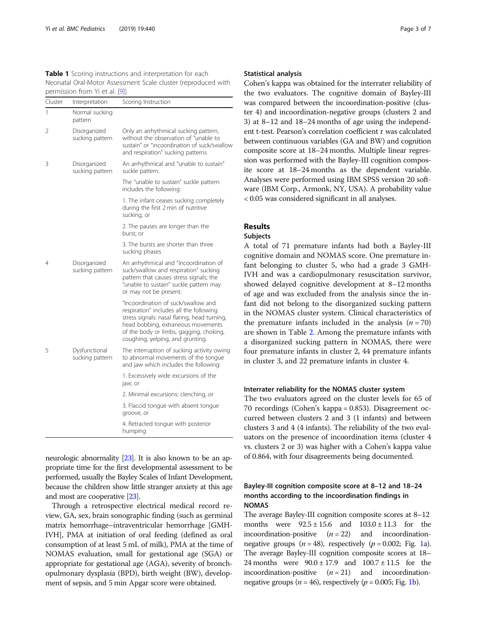<span id="page-2-0"></span>Table 1 Scoring instructions and interpretation for each Neonatal Oral-Motor Assessment Scale cluster (reproduced with permission from Yi et al. [\[9\]](#page-5-0))

| Cluster | Interpretation                   | Scoring Instruction                                                                                                                                                                                                                                 |
|---------|----------------------------------|-----------------------------------------------------------------------------------------------------------------------------------------------------------------------------------------------------------------------------------------------------|
| 1       | Normal sucking<br>pattern        |                                                                                                                                                                                                                                                     |
| 2       | Disorganized<br>sucking pattern  | Only an arrhythmical sucking pattern,<br>without the observation of "unable to<br>sustain" or "incoordination of suck/swallow<br>and respiration" sucking patterns                                                                                  |
| 3       | Disorganized<br>sucking pattern  | An arrhythmical and "unable to sustain"<br>suckle pattern.                                                                                                                                                                                          |
|         |                                  | The "unable to sustain" suckle pattern<br>includes the following:                                                                                                                                                                                   |
|         |                                  | 1. The infant ceases sucking completely<br>during the first 2 min of nutritive<br>sucking, or                                                                                                                                                       |
|         |                                  | 2. The pauses are longer than the<br>burst, or                                                                                                                                                                                                      |
|         |                                  | 3. The bursts are shorter than three<br>sucking phases                                                                                                                                                                                              |
| 4       | Disorganized<br>sucking pattern  | An arrhythmical and "incoordination of<br>suck/swallow and respiration" sucking<br>pattern that causes stress signals; the<br>"unable to sustain" suckle pattern may<br>or may not be present.                                                      |
|         |                                  | "Incoordination of suck/swallow and<br>respiration" includes all the following<br>stress signals: nasal flaring, head turning,<br>head bobbing, extraneous movements<br>of the body or limbs, gagging, choking,<br>coughing, yelping, and grunting. |
| 5       | Dysfunctional<br>sucking pattern | The interruption of sucking activity owing<br>to abnormal movements of the tongue<br>and jaw which includes the following:                                                                                                                          |
|         |                                  | 1. Excessively wide excursions of the<br>jaw, or                                                                                                                                                                                                    |
|         |                                  | 2. Minimal excursions: clenching, or                                                                                                                                                                                                                |
|         |                                  | 3. Flaccid tongue with absent tongue<br>groove, or                                                                                                                                                                                                  |
|         |                                  | 4. Retracted tongue with posterior<br>humping                                                                                                                                                                                                       |

neurologic abnormality [\[23](#page-6-0)]. It is also known to be an appropriate time for the first developmental assessment to be performed, usually the Bayley Scales of Infant Development, because the children show little stranger anxiety at this age and most are cooperative [\[23](#page-6-0)].

Through a retrospective electrical medical record review, GA, sex, brain sonographic finding (such as germinal matrix hemorrhage–intraventricular hemorrhage [GMH-IVH], PMA at initiation of oral feeding (defined as oral consumption of at least 5 mL of milk), PMA at the time of NOMAS evaluation, small for gestational age (SGA) or appropriate for gestational age (AGA), severity of bronchopulmonary dysplasia (BPD), birth weight (BW), development of sepsis, and 5 min Apgar score were obtained.

### Statistical analysis

Cohen's kappa was obtained for the interrater reliability of the two evaluators. The cognitive domain of Bayley-III was compared between the incoordination-positive (cluster 4) and incoordination-negative groups (clusters 2 and 3) at 8–12 and 18–24 months of age using the independent t-test. Pearson's correlation coefficient r was calculated between continuous variables (GA and BW) and cognition composite score at 18–24 months. Multiple linear regression was performed with the Bayley-III cognition composite score at 18–24 months as the dependent variable. Analyses were performed using IBM SPSS version 20 software (IBM Corp., Armonk, NY, USA). A probability value < 0.05 was considered significant in all analyses.

# Results

# Subjects

A total of 71 premature infants had both a Bayley-III cognitive domain and NOMAS score. One premature infant belonging to cluster 5, who had a grade 3 GMH-IVH and was a cardiopulmonary resuscitation survivor, showed delayed cognitive development at 8–12 months of age and was excluded from the analysis since the infant did not belong to the disorganized sucking pattern in the NOMAS cluster system. Clinical characteristics of the premature infants included in the analysis  $(n = 70)$ are shown in Table [2](#page-3-0). Among the premature infants with a disorganized sucking pattern in NOMAS, there were four premature infants in cluster 2, 44 premature infants in cluster 3, and 22 premature infants in cluster 4.

### Interrater reliability for the NOMAS cluster system

The two evaluators agreed on the cluster levels for 65 of 70 recordings (Cohen's kappa = 0.853). Disagreement occurred between clusters 2 and 3 (1 infants) and between clusters 3 and 4 (4 infants). The reliability of the two evaluators on the presence of incoordination items (cluster 4 vs. clusters 2 or 3) was higher with a Cohen's kappa value of 0.864, with four disagreements being documented.

# Bayley-III cognition composite score at 8–12 and 18–24 months according to the incoordination findings in NOMAS

The average Bayley-III cognition composite scores at 8–12 months were  $92.5 \pm 15.6$  and  $103.0 \pm 11.3$  for the incoordination-positive  $(n = 22)$  and incoordinationnegative groups  $(n = 48)$ , respectively  $(p = 0.002;$  Fig. [1](#page-3-0)a). The average Bayley-III cognition composite scores at 18– 24 months were  $90.0 \pm 17.9$  and  $100.7 \pm 11.5$  for the incoordination-positive  $(n = 21)$  and incoordinationnegative groups ( $n = 46$ ), respectively ( $p = 0.005$ ; Fig. [1b](#page-3-0)).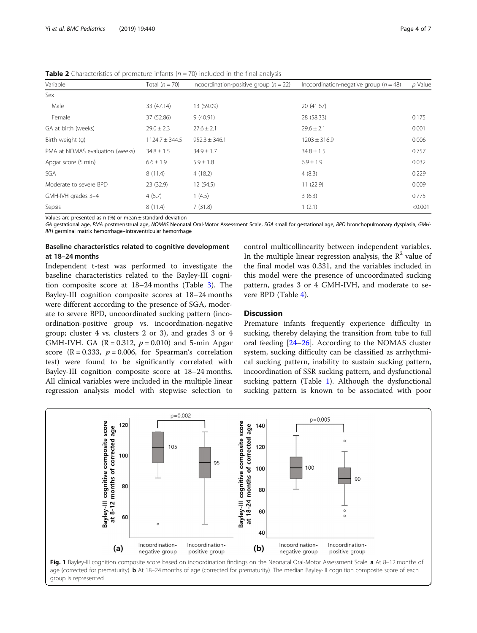| Variable                        | Total $(n = 70)$   | Incoordination-positive group ( $n = 22$ ) | Incoordination-negative group ( $n = 48$ ) | p Value |  |
|---------------------------------|--------------------|--------------------------------------------|--------------------------------------------|---------|--|
| Sex                             |                    |                                            |                                            |         |  |
| Male                            | 33 (47.14)         | 13 (59.09)                                 | 20 (41.67)                                 |         |  |
| Female                          | 37 (52.86)         | 9(40.91)                                   | 28 (58.33)                                 | 0.175   |  |
| GA at birth (weeks)             | $29.0 \pm 2.3$     | $27.6 \pm 2.1$                             | $29.6 \pm 2.1$                             | 0.001   |  |
| Birth weight (g)                | $1124.7 \pm 344.5$ | $952.3 \pm 346.1$                          | $1203 \pm 316.9$                           | 0.006   |  |
| PMA at NOMAS evaluation (weeks) | $34.8 \pm 1.5$     | $34.9 \pm 1.7$                             | $34.8 \pm 1.5$                             | 0.757   |  |
| Apgar score (5 min)             | $6.6 \pm 1.9$      | $5.9 \pm 1.8$                              | $6.9 \pm 1.9$                              | 0.032   |  |
| SGA                             | 8(11.4)            | 4(18.2)                                    | 4(8.3)                                     | 0.229   |  |
| Moderate to severe BPD          | 23 (32.9)          | 12(54.5)                                   | 11(22.9)                                   | 0.009   |  |
| GMH-IVH grades 3-4              | 4(5.7)             | 1(4.5)                                     | 3(6.3)                                     | 0.775   |  |
| Sepsis                          | 8(11.4)            | 7(31.8)                                    | 1(2.1)                                     | < 0.001 |  |
|                                 |                    |                                            |                                            |         |  |

<span id="page-3-0"></span>**Table 2** Characteristics of premature infants ( $n = 70$ ) included in the final analysis

Values are presented as n (%) or mean ± standard deviation

GA gestational age, PMA postmenstrual age, NOMAS Neonatal Oral-Motor Assessment Scale, SGA small for gestational age, BPD bronchopulmonary dysplasia, GMH-IVH germinal matrix hemorrhage–intraventricular hemorrhage

# Baseline characteristics related to cognitive development at 18–24 months

Independent t-test was performed to investigate the baseline characteristics related to the Bayley-III cognition composite score at 18–24 months (Table [3\)](#page-4-0). The Bayley-III cognition composite scores at 18–24 months were different according to the presence of SGA, moderate to severe BPD, uncoordinated sucking pattern (incoordination-positive group vs. incoordination-negative group; cluster 4 vs. clusters 2 or 3), and grades 3 or 4 GMH-IVH. GA ( $R = 0.312$ ,  $p = 0.010$ ) and 5-min Apgar score  $(R = 0.333, p = 0.006, for Spearman's correlation$ test) were found to be significantly correlated with Bayley-III cognition composite score at 18–24 months. All clinical variables were included in the multiple linear regression analysis model with stepwise selection to

control multicollinearity between independent variables. In the multiple linear regression analysis, the  $\mathbb{R}^2$  value of the final model was 0.331, and the variables included in this model were the presence of uncoordinated sucking pattern, grades 3 or 4 GMH-IVH, and moderate to severe BPD (Table [4](#page-4-0)).

# **Discussion**

Premature infants frequently experience difficulty in sucking, thereby delaying the transition from tube to full oral feeding [\[24](#page-6-0)–[26\]](#page-6-0). According to the NOMAS cluster system, sucking difficulty can be classified as arrhythmical sucking pattern, inability to sustain sucking pattern, incoordination of SSR sucking pattern, and dysfunctional sucking pattern (Table [1\)](#page-2-0). Although the dysfunctional sucking pattern is known to be associated with poor



group is represented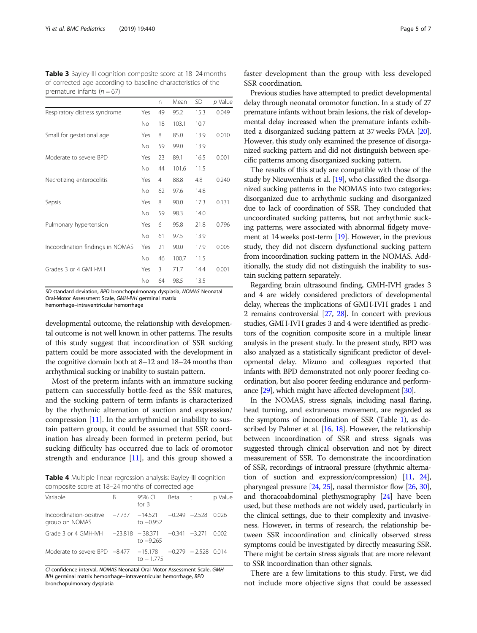<span id="page-4-0"></span>

| <b>Table 3</b> Bayley-III cognition composite score at 18–24 months |                     |                 |
|---------------------------------------------------------------------|---------------------|-----------------|
| of corrected age according to baseline characteristics of the       |                     |                 |
| premature infants ( $n = 67$ )                                      |                     |                 |
|                                                                     | $M_{\odot}$ on $CD$ | $n \frac{1}{2}$ |

|                                  |           | n              | Mean  | SD   | p Value |
|----------------------------------|-----------|----------------|-------|------|---------|
| Respiratory distress syndrome    | Yes       | 49             | 95.2  | 15.3 | 0.049   |
|                                  | <b>No</b> | 18             | 103.1 | 10.7 |         |
| Small for gestational age        | Yes       | 8              | 85.0  | 13.9 | 0.010   |
|                                  | No.       | 59             | 99.0  | 13.9 |         |
| Moderate to severe BPD           | Yes       | 23             | 89.1  | 16.5 | 0.001   |
|                                  | <b>No</b> | 44             | 101.6 | 11.5 |         |
| Necrotizing enterocolitis        | Yes       | $\overline{4}$ | 88.8  | 4.8  | 0.240   |
|                                  | No.       | 62             | 97.6  | 14.8 |         |
| Sepsis                           | Yes       | 8              | 90.0  | 17.3 | 0.131   |
|                                  | <b>No</b> | 59             | 98.3  | 14.0 |         |
| Pulmonary hypertension           | Yes       | 6              | 95.8  | 21.8 | 0.796   |
|                                  | No.       | 61             | 97.5  | 13.9 |         |
| Incoordination findings in NOMAS | Yes       | 21             | 90.0  | 17.9 | 0.005   |
|                                  | <b>No</b> | 46             | 100.7 | 11.5 |         |
| Grades 3 or 4 GMH-IVH            | Yes       | 3              | 71.7  | 14.4 | 0.001   |
|                                  | No        | 64             | 98.5  | 13.5 |         |

SD standard deviation, BPD bronchopulmonary dysplasia, NOMAS Neonatal Oral-Motor Assessment Scale, GMH-IVH germinal matrix hemorrhage–intraventricular hemorrhage

developmental outcome, the relationship with developmental outcome is not well known in other patterns. The results of this study suggest that incoordination of SSR sucking pattern could be more associated with the development in the cognitive domain both at 8–12 and 18–24 months than arrhythmical sucking or inability to sustain pattern.

Most of the preterm infants with an immature sucking pattern can successfully bottle-feed as the SSR matures, and the sucking pattern of term infants is characterized by the rhythmic alternation of suction and expression/ compression  $[11]$  $[11]$  $[11]$ . In the arrhythmical or inability to sustain pattern group, it could be assumed that SSR coordination has already been formed in preterm period, but sucking difficulty has occurred due to lack of oromotor strength and endurance [\[11](#page-5-0)], and this group showed a

Table 4 Multiple linear regression analysis: Bayley-III cognition composite score at 18–24 months of corrected age

| Variable                                                | R | 95% CI<br>for B                 | Beta | t                      | p Value |
|---------------------------------------------------------|---|---------------------------------|------|------------------------|---------|
| Incoordination-positive<br>group on NOMAS               |   | $-7.737 -14.521$<br>to $-0.952$ |      | $-0.249 - 2.528$       | 0.026   |
| Grade 3 or 4 GMH-IVH $-23.818 - 38.371 - 0.341 - 3.271$ |   | to $-9.265$                     |      |                        | 0.002   |
| Moderate to severe $BPD -8.477 -15.178$                 |   | $to -1.775$                     |      | $-0.279 - 2.528$ 0.014 |         |

CI confidence interval, NOMAS Neonatal Oral-Motor Assessment Scale, GMH-IVH germinal matrix hemorrhage–intraventricular hemorrhage, BPD bronchopulmonary dysplasia

faster development than the group with less developed SSR coordination.

Previous studies have attempted to predict developmental delay through neonatal oromotor function. In a study of 27 premature infants without brain lesions, the risk of developmental delay increased when the premature infants exhibited a disorganized sucking pattern at 37 weeks PMA [\[20](#page-6-0)]. However, this study only examined the presence of disorganized sucking pattern and did not distinguish between specific patterns among disorganized sucking pattern.

The results of this study are compatible with those of the study by Nieuwenhuis et al. [\[19\]](#page-6-0), who classified the disorganized sucking patterns in the NOMAS into two categories: disorganized due to arrhythmic sucking and disorganized due to lack of coordination of SSR. They concluded that uncoordinated sucking patterns, but not arrhythmic sucking patterns, were associated with abnormal fidgety movement at 14 weeks post-term [\[19\]](#page-6-0). However, in the previous study, they did not discern dysfunctional sucking pattern from incoordination sucking pattern in the NOMAS. Additionally, the study did not distinguish the inability to sustain sucking pattern separately.

Regarding brain ultrasound finding, GMH-IVH grades 3 and 4 are widely considered predictors of developmental delay, whereas the implications of GMH-IVH grades 1 and 2 remains controversial [\[27,](#page-6-0) [28](#page-6-0)]. In concert with previous studies, GMH-IVH grades 3 and 4 were identified as predictors of the cognition composite score in a multiple linear analysis in the present study. In the present study, BPD was also analyzed as a statistically significant predictor of developmental delay. Mizuno and colleagues reported that infants with BPD demonstrated not only poorer feeding coordination, but also poorer feeding endurance and performance [\[29](#page-6-0)], which might have affected development [[30](#page-6-0)].

In the NOMAS, stress signals, including nasal flaring, head turning, and extraneous movement, are regarded as the symptoms of incoordination of SSR (Table [1\)](#page-2-0), as described by Palmer et al. [\[16,](#page-5-0) [18](#page-6-0)]. However, the relationship between incoordination of SSR and stress signals was suggested through clinical observation and not by direct measurement of SSR. To demonstrate the incoordination of SSR, recordings of intraoral pressure (rhythmic alternation of suction and expression/compression) [[11](#page-5-0), [24](#page-6-0)], pharyngeal pressure [\[24](#page-6-0), [25\]](#page-6-0), nasal thermistor flow [[26](#page-6-0), [30](#page-6-0)], and thoracoabdominal plethysmography [\[24](#page-6-0)] have been used, but these methods are not widely used, particularly in the clinical settings, due to their complexity and invasiveness. However, in terms of research, the relationship between SSR incoordination and clinically observed stress symptoms could be investigated by directly measuring SSR. There might be certain stress signals that are more relevant to SSR incoordination than other signals.

There are a few limitations to this study. First, we did not include more objective signs that could be assessed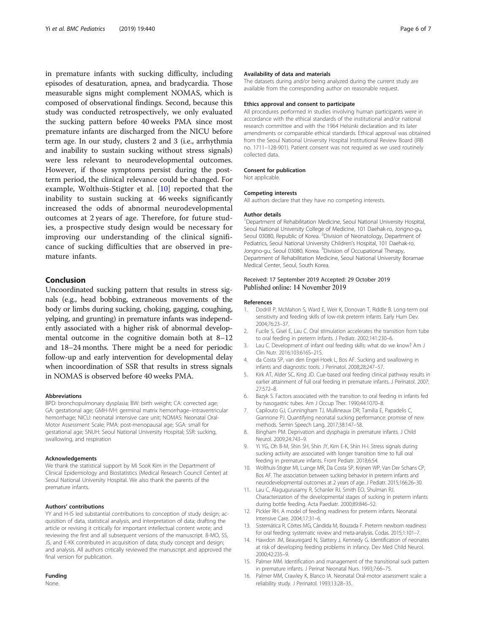<span id="page-5-0"></span>in premature infants with sucking difficulty, including episodes of desaturation, apnea, and bradycardia. Those measurable signs might complement NOMAS, which is composed of observational findings. Second, because this study was conducted retrospectively, we only evaluated the sucking pattern before 40 weeks PMA since most premature infants are discharged from the NICU before term age. In our study, clusters 2 and 3 (i.e., arrhythmia and inability to sustain sucking without stress signals) were less relevant to neurodevelopmental outcomes. However, if those symptoms persist during the postterm period, the clinical relevance could be changed. For example, Wolthuis-Stigter et al. [10] reported that the inability to sustain sucking at 46 weeks significantly increased the odds of abnormal neurodevelopmental outcomes at 2 years of age. Therefore, for future studies, a prospective study design would be necessary for improving our understanding of the clinical significance of sucking difficulties that are observed in premature infants.

# Conclusion

Uncoordinated sucking pattern that results in stress signals (e.g., head bobbing, extraneous movements of the body or limbs during sucking, choking, gagging, coughing, yelping, and grunting) in premature infants was independently associated with a higher risk of abnormal developmental outcome in the cognitive domain both at 8–12 and 18–24 months. There might be a need for periodic follow-up and early intervention for developmental delay when incoordination of SSR that results in stress signals in NOMAS is observed before 40 weeks PMA.

#### Abbreviations

BPD: bronchopulmonary dysplasia; BW: birth weight; CA: corrected age; GA: gestational age; GMH-IVH: germinal matrix hemorrhage–intraventricular hemorrhage; NICU: neonatal intensive care unit; NOMAS: Neonatal Oral-Motor Assessment Scale; PMA: post-menopausal age; SGA: small for gestational age; SNUH: Seoul National University Hospital; SSR: sucking, swallowing, and respiration

#### Acknowledgements

We thank the statistical support by Mi Sook Kim in the Department of Clinical Epidemiology and Biostatistics (Medical Research Council Center) at Seoul National University Hospital. We also thank the parents of the premature infants.

#### Authors' contributions

YY and H-IS led substantial contributions to conception of study design; acquisition of data, statistical analysis, and interpretation of data; drafting the article or revising it critically for important intellectual content wrote; and reviewing the first and all subsequent versions of the manuscript. B-MO, SS, JS, and E-KK contributed in acquisition of data; study concept and design; and analysis. All authors critically reviewed the manuscript and approved the final version for publication.

# Funding

None.

#### Availability of data and materials

The datasets during and/or being analyzed during the current study are available from the corresponding author on reasonable request.

#### Ethics approval and consent to participate

All procedures performed in studies involving human participants were in accordance with the ethical standards of the institutional and/or national research committee and with the 1964 Helsinki declaration and its later amendments or comparable ethical standards. Ethical approval was obtained from the Seoul National University Hospital Institutional Review Board (IRB no. 1711–128-901). Patient consent was not required as we used routinely collected data.

#### Consent for publication

Not applicable.

#### Competing interests

All authors declare that they have no competing interests.

#### Author details

<sup>1</sup>Department of Rehabilitation Medicine, Seoul National University Hospital Seoul National University College of Medicine, 101 Daehak-ro, Jongno-gu, Seoul 03080, Republic of Korea. <sup>2</sup> Division of Neonatology, Department of Pediatrics, Seoul National University Children's Hospital, 101 Daehak-ro, Jongno-gu, Seoul 03080, Korea. <sup>3</sup> Division of Occupational Therapy, Department of Rehabilitation Medicine, Seoul National University Boramae Medical Center, Seoul, South Korea.

#### Received: 17 September 2019 Accepted: 29 October 2019 Published online: 14 November 2019

#### References

- 1. Dodrill P, McMahon S, Ward E, Weir K, Donovan T, Riddle B. Long-term oral sensitivity and feeding skills of low-risk preterm infants. Early Hum Dev. 2004;76:23–37.
- 2. Fucile S, Gisel E, Lau C. Oral stimulation accelerates the transition from tube to oral feeding in preterm infants. J Pediatr. 2002;141:230–6.
- 3. Lau C. Development of infant oral feeding skills: what do we know? Am J Clin Nutr. 2016;103:616S–21S.
- 4. da Costa SP, van den Engel-Hoek L, Bos AF. Sucking and swallowing in infants and diagnostic tools. J Perinatol. 2008;28:247–57.
- 5. Kirk AT, Alder SC, King JD. Cue-based oral feeding clinical pathway results in earlier attainment of full oral feeding in premature infants. J Perinatol. 2007; 27:572–8.
- 6. Bazyk S. Factors associated with the transition to oral feeding in infants fed by nasogastric tubes. Am J Occup Ther. 1990;44:1070–8.
- 7. Capilouto GJ, Cunningham TJ, Mullineaux DR, Tamilia E, Papadelis C, Giannone PJ. Quantifying neonatal sucking performance: promise of new methods. Semin Speech Lang. 2017;38:147–58.
- 8. Bingham PM. Deprivation and dysphagia in premature infants. J Child Neurol. 2009;24:743–9.
- 9. Yi YG, Oh B-M, Shin SH, Shin JY, Kim E-K, Shin H-I. Stress signals during sucking activity are associated with longer transition time to full oral feeding in premature infants. Front Pediatr. 2018;6:54.
- 10. Wolthuis-Stigter MI, Luinge MR, Da Costa SP, Krijnen WP, Van Der Schans CP, Bos AF. The association between sucking behavior in preterm infants and neurodevelopmental outcomes at 2 years of age. J Pediatr. 2015;166:26–30.
- 11. Lau C, Alagugurusamy R, Schanler RJ, Smith EO, Shulman RJ. Characterization of the developmental stages of sucking in preterm infants during bottle feeding. Acta Paediatr. 2000;89:846–52.
- 12. Pickler RH. A model of feeding readiness for preterm infants. Neonatal Intensive Care. 2004;17:31–6.
- 13. Sistemática R, Côrtes MG, Cândida M, Bouzada F. Preterm newborn readiness for oral feeding: systematic review and meta-analysis. Codas. 2015;1:101–7.
- 14. Hawdon JM, Beauregard N, Slattery J, Kennedy G. Identification of neonates at risk of developing feeding problems in infancy. Dev Med Child Neurol. 2000;42:235–9.
- 15. Palmer MM. Identification and management of the transitional suck pattern in premature infants. J Perinat Neonatal Nurs. 1993;7:66–75.
- 16. Palmer MM, Crawley K, Blanco IA. Neonatal Oral-motor assessment scale: a reliability study. J Perinatol. 1993;13:28–35.